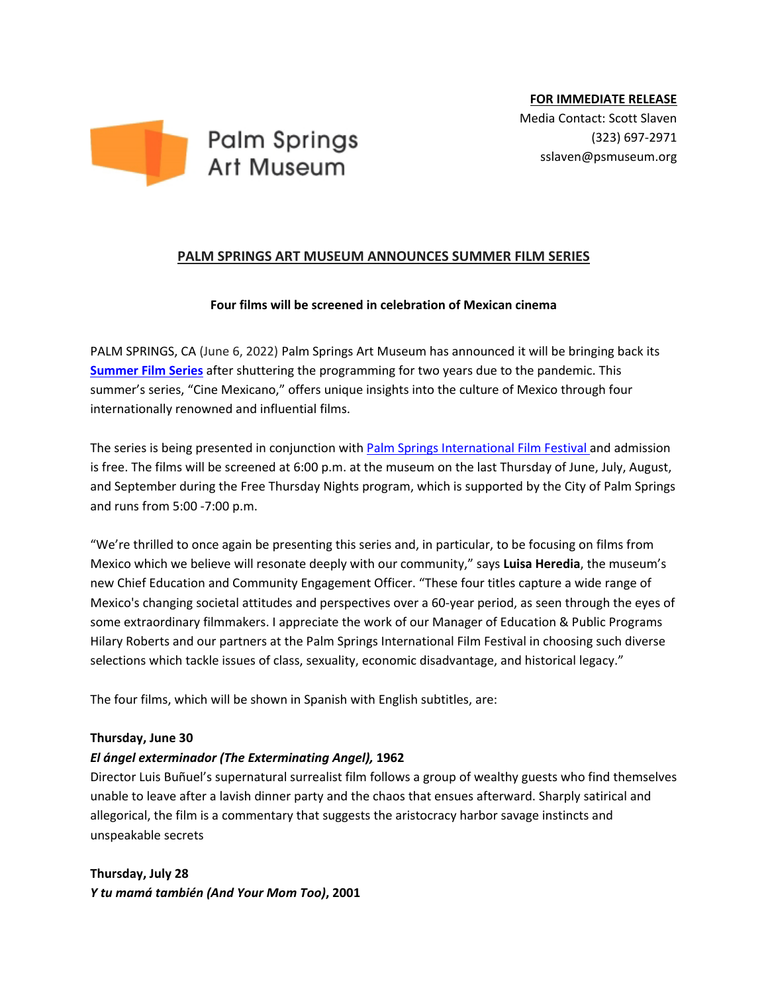

## **PALM SPRINGS ART MUSEUM ANNOUNCES SUMMER FILM SERIES**

#### **Four films will be screened in celebration of Mexican cinema**

PALM SPRINGS, CA (June 6, 2022) Palm Springs Art Museum has announced it will be bringing back its **[Summer Film Series](https://www.psmuseum.org/events/programs-events)** after shuttering the programming for two years due to the pandemic. This summer's series, "Cine Mexicano," offers unique insights into the culture of Mexico through four internationally renowned and influential films.

The series is being presented in conjunction with [Palm Springs International Film Festival a](https://www.psfilmfest.org/)nd admission is free. The films will be screened at 6:00 p.m. at the museum on the last Thursday of June, July, August, and September during the Free Thursday Nights program, which is supported by the City of Palm Springs and runs from 5:00 -7:00 p.m.

"We're thrilled to once again be presenting this series and, in particular, to be focusing on films from Mexico which we believe will resonate deeply with our community," says **Luisa Heredia**, the museum's new Chief Education and Community Engagement Officer. "These four titles capture a wide range of Mexico's changing societal attitudes and perspectives over a 60-year period, as seen through the eyes of some extraordinary filmmakers. I appreciate the work of our Manager of Education & Public Programs Hilary Roberts and our partners at the Palm Springs International Film Festival in choosing such diverse selections which tackle issues of class, sexuality, economic disadvantage, and historical legacy."

The four films, which will be shown in Spanish with English subtitles, are:

#### **Thursday, June 30**

## *El ángel exterminador (The Exterminating Angel),* **1962**

Director Luis Buñuel's supernatural surrealist film follows a group of wealthy guests who find themselves unable to leave after a lavish dinner party and the chaos that ensues afterward. Sharply satirical and allegorical, the film is a commentary that suggests the aristocracy harbor savage instincts and unspeakable secrets

# **Thursday, July 28** *Y tu mamá también (And Your Mom Too)***, 2001**